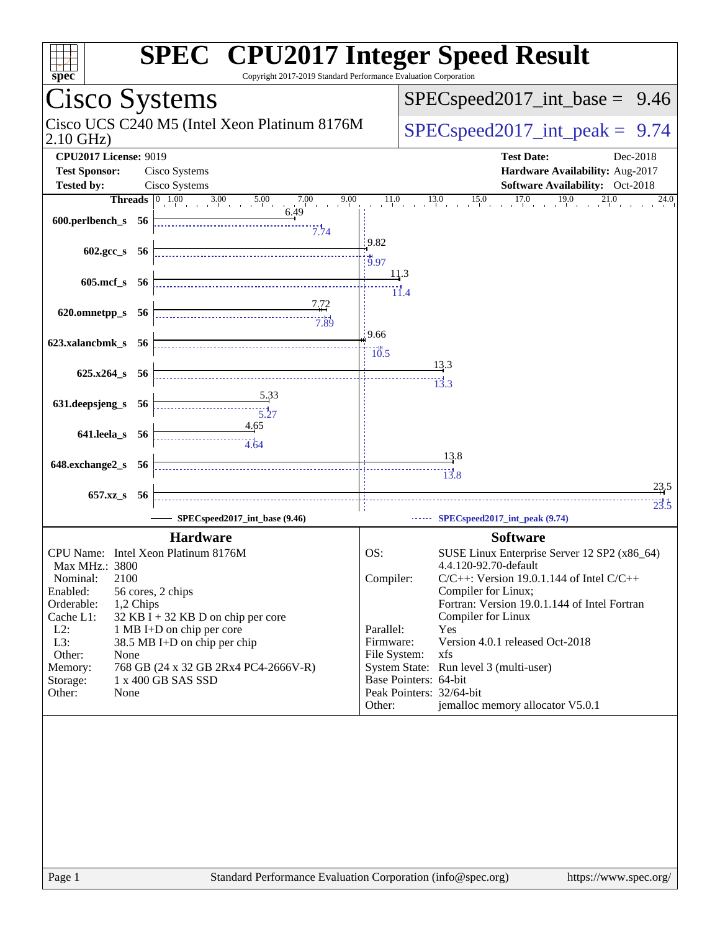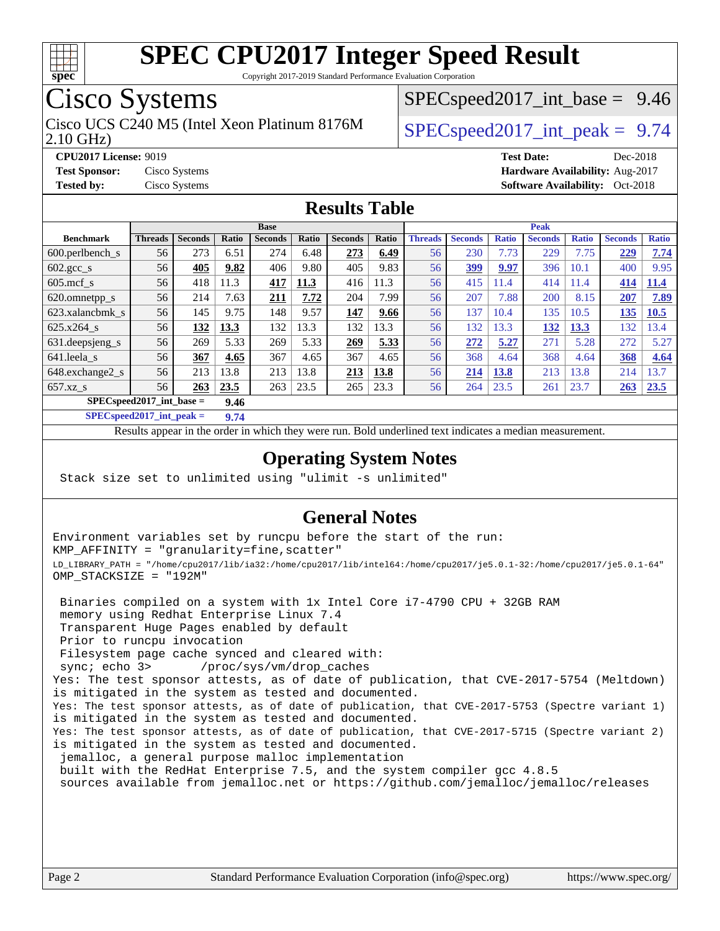

Copyright 2017-2019 Standard Performance Evaluation Corporation

## Cisco Systems

2.10 GHz) Cisco UCS C240 M5 (Intel Xeon Platinum 8176M  $\big|$  SPECspeed2017 int peak = 9.74

 $SPECspeed2017\_int\_base = 9.46$ 

**[Tested by:](http://www.spec.org/auto/cpu2017/Docs/result-fields.html#Testedby)** Cisco Systems **Cisco Systems [Software Availability:](http://www.spec.org/auto/cpu2017/Docs/result-fields.html#SoftwareAvailability)** Oct-2018

**[CPU2017 License:](http://www.spec.org/auto/cpu2017/Docs/result-fields.html#CPU2017License)** 9019 **[Test Date:](http://www.spec.org/auto/cpu2017/Docs/result-fields.html#TestDate)** Dec-2018 **[Test Sponsor:](http://www.spec.org/auto/cpu2017/Docs/result-fields.html#TestSponsor)** Cisco Systems **[Hardware Availability:](http://www.spec.org/auto/cpu2017/Docs/result-fields.html#HardwareAvailability)** Aug-2017

#### **[Results Table](http://www.spec.org/auto/cpu2017/Docs/result-fields.html#ResultsTable)**

|                                     | <b>Base</b>    |                |              |                |       |                |       |                | <b>Peak</b>    |              |                |              |                |              |  |
|-------------------------------------|----------------|----------------|--------------|----------------|-------|----------------|-------|----------------|----------------|--------------|----------------|--------------|----------------|--------------|--|
| <b>Benchmark</b>                    | <b>Threads</b> | <b>Seconds</b> | <b>Ratio</b> | <b>Seconds</b> | Ratio | <b>Seconds</b> | Ratio | <b>Threads</b> | <b>Seconds</b> | <b>Ratio</b> | <b>Seconds</b> | <b>Ratio</b> | <b>Seconds</b> | <b>Ratio</b> |  |
| 600.perlbench s                     | 56             | 273            | 6.51         | 274            | 6.48  | 273            | 6.49  | 56             | 230            | 7.73         | 229            | 7.75         | 229            | 7.74         |  |
| $602 \text{.} \text{gcc}\text{.}$ s | 56             | 405            | 9.82         | 406            | 9.80  | 405            | 9.83  | 56             | 399            | 9.97         | 396            | 10.1         | 400            | 9.95         |  |
| $605$ .mcf s                        | 56             | 418            | 11.3         | 417            | 11.3  | 416            | 11.3  | 56             | 415            | 11.4         | 414            | 11.4         | 414            | 11.4         |  |
| 620.omnetpp_s                       | 56             | 214            | 7.63         | 211            | 7.72  | 204            | 7.99  | 56             | 207            | 7.88         | 200            | 8.15         | 207            | 7.89         |  |
| 623.xalancbmk s                     | 56             | 145            | 9.75         | 148            | 9.57  | 147            | 9.66  | 56             | 137            | 10.4         | 135            | 10.5         | 135            | 10.5         |  |
| 625.x264 s                          | 56             | 132            | 13.3         | 132            | 13.3  | 132            | 13.3  | 56             | 132            | 13.3         | 132            | 13.3         | 132            | 13.4         |  |
| 631.deepsjeng_s                     | 56             | 269            | 5.33         | 269            | 5.33  | 269            | 5.33  | 56             | 272            | 5.27         | 271            | 5.28         | 272            | 5.27         |  |
| 641.leela s                         | 56             | 367            | 4.65         | 367            | 4.65  | 367            | 4.65  | 56             | 368            | 4.64         | 368            | 4.64         | 368            | 4.64         |  |
| 648.exchange2_s                     | 56             | 213            | 13.8         | 213            | 13.8  | 213            | 13.8  | 56             | 214            | 13.8         | 213            | 13.8         | 214            | 13.7         |  |
| $657.xz$ <sub>S</sub>               | 56             | 263            | 23.5         | 263            | 23.5  | 265            | 23.3  | 56             | 264            | 23.5         | 261            | 23.7         | 263            | 23.5         |  |
| $SPEC speed2017$ int base =<br>9.46 |                |                |              |                |       |                |       |                |                |              |                |              |                |              |  |

**[SPECspeed2017\\_int\\_peak =](http://www.spec.org/auto/cpu2017/Docs/result-fields.html#SPECspeed2017intpeak) 9.74**

Results appear in the [order in which they were run.](http://www.spec.org/auto/cpu2017/Docs/result-fields.html#RunOrder) Bold underlined text [indicates a median measurement](http://www.spec.org/auto/cpu2017/Docs/result-fields.html#Median).

### **[Operating System Notes](http://www.spec.org/auto/cpu2017/Docs/result-fields.html#OperatingSystemNotes)**

Stack size set to unlimited using "ulimit -s unlimited"

### **[General Notes](http://www.spec.org/auto/cpu2017/Docs/result-fields.html#GeneralNotes)**

Environment variables set by runcpu before the start of the run: KMP\_AFFINITY = "granularity=fine,scatter" LD\_LIBRARY\_PATH = "/home/cpu2017/lib/ia32:/home/cpu2017/lib/intel64:/home/cpu2017/je5.0.1-32:/home/cpu2017/je5.0.1-64" OMP\_STACKSIZE = "192M"

 Binaries compiled on a system with 1x Intel Core i7-4790 CPU + 32GB RAM memory using Redhat Enterprise Linux 7.4 Transparent Huge Pages enabled by default Prior to runcpu invocation Filesystem page cache synced and cleared with: sync; echo 3> /proc/sys/vm/drop\_caches Yes: The test sponsor attests, as of date of publication, that CVE-2017-5754 (Meltdown) is mitigated in the system as tested and documented. Yes: The test sponsor attests, as of date of publication, that CVE-2017-5753 (Spectre variant 1) is mitigated in the system as tested and documented. Yes: The test sponsor attests, as of date of publication, that CVE-2017-5715 (Spectre variant 2) is mitigated in the system as tested and documented. jemalloc, a general purpose malloc implementation built with the RedHat Enterprise 7.5, and the system compiler gcc 4.8.5 sources available from jemalloc.net or <https://github.com/jemalloc/jemalloc/releases>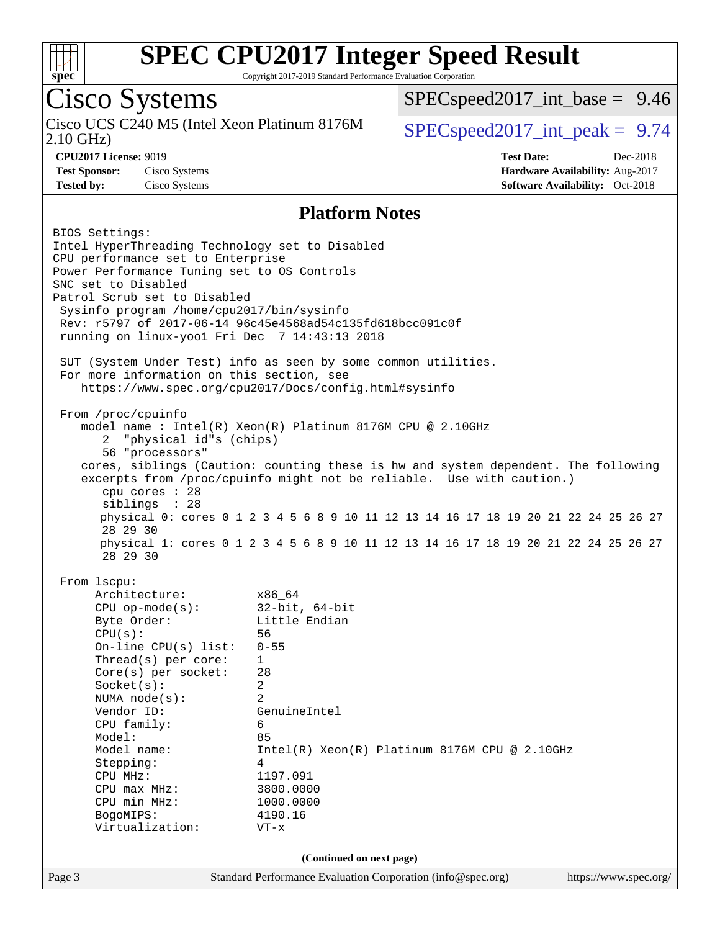

Copyright 2017-2019 Standard Performance Evaluation Corporation

# Cisco Systems

2.10 GHz) Cisco UCS C240 M5 (Intel Xeon Platinum 8176M  $\big|$  [SPECspeed2017\\_int\\_peak =](http://www.spec.org/auto/cpu2017/Docs/result-fields.html#SPECspeed2017intpeak) 9.74

 $SPECspeed2017\_int\_base = 9.46$ 

**[CPU2017 License:](http://www.spec.org/auto/cpu2017/Docs/result-fields.html#CPU2017License)** 9019 **[Test Date:](http://www.spec.org/auto/cpu2017/Docs/result-fields.html#TestDate)** Dec-2018 **[Test Sponsor:](http://www.spec.org/auto/cpu2017/Docs/result-fields.html#TestSponsor)** Cisco Systems **[Hardware Availability:](http://www.spec.org/auto/cpu2017/Docs/result-fields.html#HardwareAvailability)** Aug-2017 **[Tested by:](http://www.spec.org/auto/cpu2017/Docs/result-fields.html#Testedby)** Cisco Systems **[Software Availability:](http://www.spec.org/auto/cpu2017/Docs/result-fields.html#SoftwareAvailability)** Oct-2018

#### **[Platform Notes](http://www.spec.org/auto/cpu2017/Docs/result-fields.html#PlatformNotes)**

Page 3 Standard Performance Evaluation Corporation [\(info@spec.org\)](mailto:info@spec.org) <https://www.spec.org/> BIOS Settings: Intel HyperThreading Technology set to Disabled CPU performance set to Enterprise Power Performance Tuning set to OS Controls SNC set to Disabled Patrol Scrub set to Disabled Sysinfo program /home/cpu2017/bin/sysinfo Rev: r5797 of 2017-06-14 96c45e4568ad54c135fd618bcc091c0f running on linux-yoo1 Fri Dec 7 14:43:13 2018 SUT (System Under Test) info as seen by some common utilities. For more information on this section, see <https://www.spec.org/cpu2017/Docs/config.html#sysinfo> From /proc/cpuinfo model name : Intel(R) Xeon(R) Platinum 8176M CPU @ 2.10GHz 2 "physical id"s (chips) 56 "processors" cores, siblings (Caution: counting these is hw and system dependent. The following excerpts from /proc/cpuinfo might not be reliable. Use with caution.) cpu cores : 28 siblings : 28 physical 0: cores 0 1 2 3 4 5 6 8 9 10 11 12 13 14 16 17 18 19 20 21 22 24 25 26 27 28 29 30 physical 1: cores 0 1 2 3 4 5 6 8 9 10 11 12 13 14 16 17 18 19 20 21 22 24 25 26 27 28 29 30 From lscpu: Architecture: x86\_64 CPU op-mode(s): 32-bit, 64-bit Byte Order: Little Endian CPU(s): 56 On-line CPU(s) list: 0-55 Thread(s) per core: 1 Core(s) per socket: 28 Socket(s): 2 NUMA node(s): 2 Vendor ID: GenuineIntel CPU family: 6 Model: 85 Model name:  $Intel(R)$  Xeon(R) Platinum 8176M CPU @ 2.10GHz Stepping: 4 CPU MHz: 1197.091 CPU max MHz: 3800.0000 CPU min MHz: 1000.0000 BogoMIPS: 4190.16 Virtualization: VT-x **(Continued on next page)**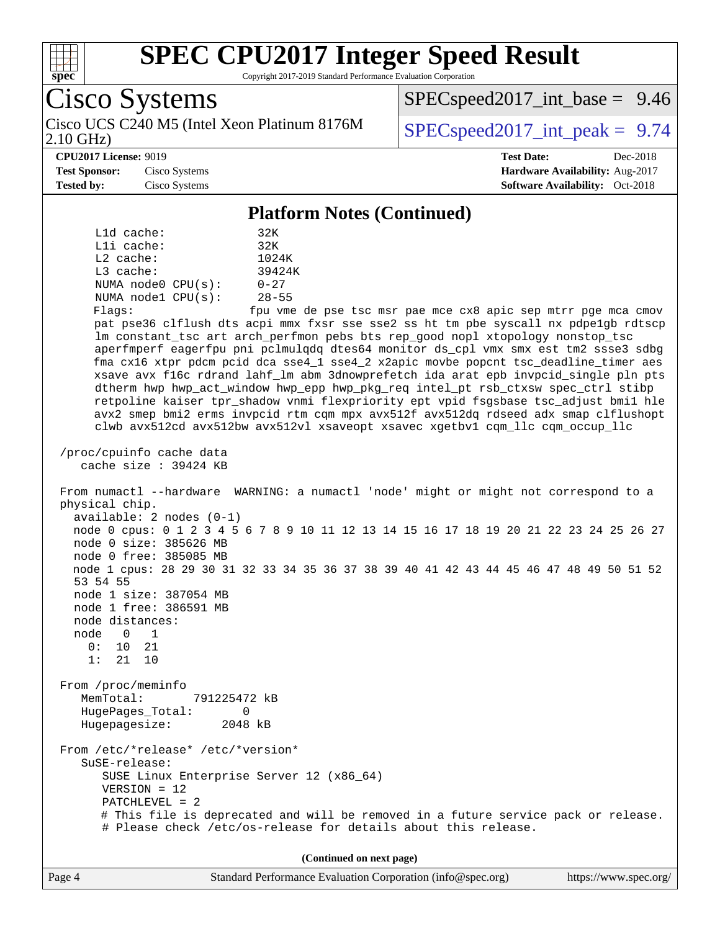

Copyright 2017-2019 Standard Performance Evaluation Corporation

Page 4 Standard Performance Evaluation Corporation [\(info@spec.org\)](mailto:info@spec.org) <https://www.spec.org/> Cisco Systems 2.10 GHz) Cisco UCS C240 M5 (Intel Xeon Platinum 8176M  $\big|$  [SPECspeed2017\\_int\\_peak =](http://www.spec.org/auto/cpu2017/Docs/result-fields.html#SPECspeed2017intpeak) 9.74  $SPECspeed2017\_int\_base = 9.46$ **[CPU2017 License:](http://www.spec.org/auto/cpu2017/Docs/result-fields.html#CPU2017License)** 9019 **[Test Date:](http://www.spec.org/auto/cpu2017/Docs/result-fields.html#TestDate)** Dec-2018 **[Test Sponsor:](http://www.spec.org/auto/cpu2017/Docs/result-fields.html#TestSponsor)** Cisco Systems **[Hardware Availability:](http://www.spec.org/auto/cpu2017/Docs/result-fields.html#HardwareAvailability)** Aug-2017 **[Tested by:](http://www.spec.org/auto/cpu2017/Docs/result-fields.html#Testedby)** Cisco Systems **[Software Availability:](http://www.spec.org/auto/cpu2017/Docs/result-fields.html#SoftwareAvailability)** Oct-2018 **[Platform Notes \(Continued\)](http://www.spec.org/auto/cpu2017/Docs/result-fields.html#PlatformNotes)** L1d cache: 32K L1i cache: 32K L2 cache: 1024K L3 cache: 39424K NUMA node0 CPU(s): 0-27 NUMA node1 CPU(s): 28-55 Flags: fpu vme de pse tsc msr pae mce cx8 apic sep mtrr pge mca cmov pat pse36 clflush dts acpi mmx fxsr sse sse2 ss ht tm pbe syscall nx pdpe1gb rdtscp lm constant\_tsc art arch\_perfmon pebs bts rep\_good nopl xtopology nonstop\_tsc aperfmperf eagerfpu pni pclmulqdq dtes64 monitor ds\_cpl vmx smx est tm2 ssse3 sdbg fma cx16 xtpr pdcm pcid dca sse4\_1 sse4\_2 x2apic movbe popcnt tsc\_deadline\_timer aes xsave avx f16c rdrand lahf\_lm abm 3dnowprefetch ida arat epb invpcid\_single pln pts dtherm hwp hwp\_act\_window hwp\_epp hwp\_pkg\_req intel\_pt rsb\_ctxsw spec\_ctrl stibp retpoline kaiser tpr\_shadow vnmi flexpriority ept vpid fsgsbase tsc\_adjust bmi1 hle avx2 smep bmi2 erms invpcid rtm cqm mpx avx512f avx512dq rdseed adx smap clflushopt clwb avx512cd avx512bw avx512vl xsaveopt xsavec xgetbv1 cqm\_llc cqm\_occup\_llc /proc/cpuinfo cache data cache size : 39424 KB From numactl --hardware WARNING: a numactl 'node' might or might not correspond to a physical chip. available: 2 nodes (0-1) node 0 cpus: 0 1 2 3 4 5 6 7 8 9 10 11 12 13 14 15 16 17 18 19 20 21 22 23 24 25 26 27 node 0 size: 385626 MB node 0 free: 385085 MB node 1 cpus: 28 29 30 31 32 33 34 35 36 37 38 39 40 41 42 43 44 45 46 47 48 49 50 51 52 53 54 55 node 1 size: 387054 MB node 1 free: 386591 MB node distances: node 0 1 0: 10 21 1: 21 10 From /proc/meminfo MemTotal: 791225472 kB HugePages\_Total: 0 Hugepagesize: 2048 kB From /etc/\*release\* /etc/\*version\* SuSE-release: SUSE Linux Enterprise Server 12 (x86\_64) VERSION = 12 PATCHLEVEL = 2 # This file is deprecated and will be removed in a future service pack or release. # Please check /etc/os-release for details about this release. **(Continued on next page)**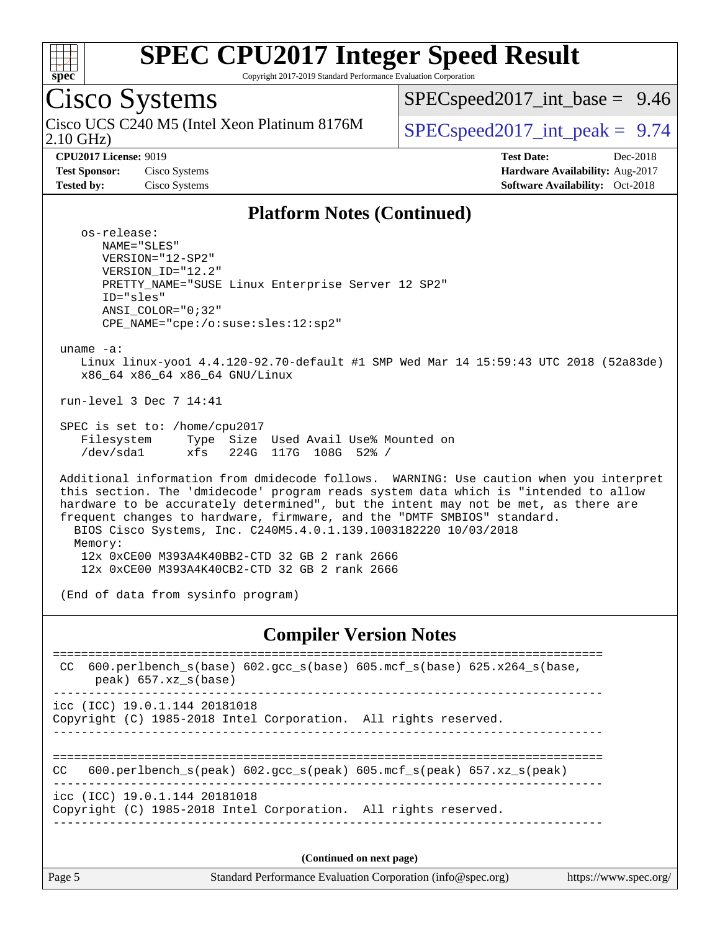

Copyright 2017-2019 Standard Performance Evaluation Corporation

#### Cisco Systems 2.10 GHz) Cisco UCS C240 M5 (Intel Xeon Platinum 8176M  $\big|$  SPECspeed2017 int peak = 9.74  $SPECspeed2017\_int\_base = 9.46$ **[CPU2017 License:](http://www.spec.org/auto/cpu2017/Docs/result-fields.html#CPU2017License)** 9019 **[Test Date:](http://www.spec.org/auto/cpu2017/Docs/result-fields.html#TestDate)** Dec-2018 **[Test Sponsor:](http://www.spec.org/auto/cpu2017/Docs/result-fields.html#TestSponsor)** Cisco Systems **[Hardware Availability:](http://www.spec.org/auto/cpu2017/Docs/result-fields.html#HardwareAvailability)** Aug-2017 **[Tested by:](http://www.spec.org/auto/cpu2017/Docs/result-fields.html#Testedby)** Cisco Systems **Cisco Systems [Software Availability:](http://www.spec.org/auto/cpu2017/Docs/result-fields.html#SoftwareAvailability)** Oct-2018 **[Platform Notes \(Continued\)](http://www.spec.org/auto/cpu2017/Docs/result-fields.html#PlatformNotes)** os-release: NAME="SLES" VERSION="12-SP2" VERSION\_ID="12.2" PRETTY\_NAME="SUSE Linux Enterprise Server 12 SP2" ID="sles" ANSI\_COLOR="0;32" CPE\_NAME="cpe:/o:suse:sles:12:sp2" uname -a: Linux linux-yoo1 4.4.120-92.70-default #1 SMP Wed Mar 14 15:59:43 UTC 2018 (52a83de) x86\_64 x86\_64 x86\_64 GNU/Linux run-level 3 Dec 7 14:41 SPEC is set to: /home/cpu2017 Filesystem Type Size Used Avail Use% Mounted on /dev/sda1 xfs 224G 117G 108G 52% / Additional information from dmidecode follows. WARNING: Use caution when you interpret this section. The 'dmidecode' program reads system data which is "intended to allow hardware to be accurately determined", but the intent may not be met, as there are frequent changes to hardware, firmware, and the "DMTF SMBIOS" standard. BIOS Cisco Systems, Inc. C240M5.4.0.1.139.1003182220 10/03/2018 Memory: 12x 0xCE00 M393A4K40BB2-CTD 32 GB 2 rank 2666 12x 0xCE00 M393A4K40CB2-CTD 32 GB 2 rank 2666 (End of data from sysinfo program) **[Compiler Version Notes](http://www.spec.org/auto/cpu2017/Docs/result-fields.html#CompilerVersionNotes)** ============================================================================== CC 600.perlbench s(base) 602.gcc s(base) 605.mcf s(base) 625.x264 s(base,

 peak) 657.xz\_s(base) ----------------------------------------------------------------------------- icc (ICC) 19.0.1.144 20181018 Copyright (C) 1985-2018 Intel Corporation. All rights reserved. ------------------------------------------------------------------------------ ============================================================================== CC 600.perlbench\_s(peak) 602.gcc\_s(peak) 605.mcf\_s(peak) 657.xz\_s(peak) ----------------------------------------------------------------------------- icc (ICC) 19.0.1.144 20181018 Copyright (C) 1985-2018 Intel Corporation. All rights reserved. ------------------------------------------------------------------------------ **(Continued on next page)**

Page 5 Standard Performance Evaluation Corporation [\(info@spec.org\)](mailto:info@spec.org) <https://www.spec.org/>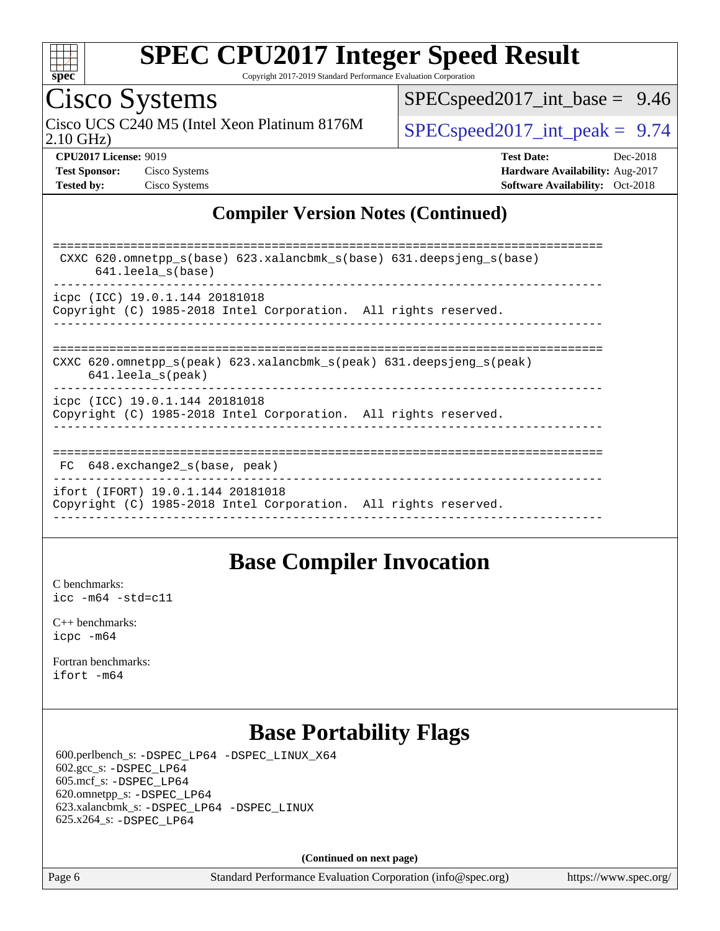

Copyright 2017-2019 Standard Performance Evaluation Corporation

# Cisco Systems

2.10 GHz) Cisco UCS C240 M5 (Intel Xeon Platinum 8176M  $\big|$  [SPECspeed2017\\_int\\_peak =](http://www.spec.org/auto/cpu2017/Docs/result-fields.html#SPECspeed2017intpeak) 9.74

[SPECspeed2017\\_int\\_base =](http://www.spec.org/auto/cpu2017/Docs/result-fields.html#SPECspeed2017intbase) 9.46

**[Test Sponsor:](http://www.spec.org/auto/cpu2017/Docs/result-fields.html#TestSponsor)** Cisco Systems **[Hardware Availability:](http://www.spec.org/auto/cpu2017/Docs/result-fields.html#HardwareAvailability)** Aug-2017

**[CPU2017 License:](http://www.spec.org/auto/cpu2017/Docs/result-fields.html#CPU2017License)** 9019 **[Test Date:](http://www.spec.org/auto/cpu2017/Docs/result-fields.html#TestDate)** Dec-2018 **[Tested by:](http://www.spec.org/auto/cpu2017/Docs/result-fields.html#Testedby)** Cisco Systems **[Software Availability:](http://www.spec.org/auto/cpu2017/Docs/result-fields.html#SoftwareAvailability)** Oct-2018

### **[Compiler Version Notes \(Continued\)](http://www.spec.org/auto/cpu2017/Docs/result-fields.html#CompilerVersionNotes)**

| CXXC 620.omnetpp $s(base)$ 623.xalancbmk $s(base)$ 631.deepsjeng $s(base)$<br>$641.$ leela $s(base)$                       |
|----------------------------------------------------------------------------------------------------------------------------|
| icpc (ICC) 19.0.1.144 20181018<br>Copyright (C) 1985-2018 Intel Corporation. All rights reserved.                          |
| CXXC 620.omnetpp $s(\text{peak})$ 623.xalancbmk $s(\text{peak})$ 631.deepsjeng $s(\text{peak})$<br>$641.$ leela $s$ (peak) |
| icpc (ICC) 19.0.1.144 20181018<br>Copyright (C) 1985-2018 Intel Corporation. All rights reserved.                          |
| 648.exchange2 s(base, peak)<br>FC.                                                                                         |
| ifort (IFORT) 19.0.1.144 20181018<br>Copyright (C) 1985-2018 Intel Corporation. All rights reserved.                       |

### **[Base Compiler Invocation](http://www.spec.org/auto/cpu2017/Docs/result-fields.html#BaseCompilerInvocation)**

[C benchmarks](http://www.spec.org/auto/cpu2017/Docs/result-fields.html#Cbenchmarks): [icc -m64 -std=c11](http://www.spec.org/cpu2017/results/res2019q1/cpu2017-20190108-10616.flags.html#user_CCbase_intel_icc_64bit_c11_33ee0cdaae7deeeab2a9725423ba97205ce30f63b9926c2519791662299b76a0318f32ddfffdc46587804de3178b4f9328c46fa7c2b0cd779d7a61945c91cd35)

[C++ benchmarks:](http://www.spec.org/auto/cpu2017/Docs/result-fields.html#CXXbenchmarks) [icpc -m64](http://www.spec.org/cpu2017/results/res2019q1/cpu2017-20190108-10616.flags.html#user_CXXbase_intel_icpc_64bit_4ecb2543ae3f1412ef961e0650ca070fec7b7afdcd6ed48761b84423119d1bf6bdf5cad15b44d48e7256388bc77273b966e5eb805aefd121eb22e9299b2ec9d9)

[Fortran benchmarks](http://www.spec.org/auto/cpu2017/Docs/result-fields.html#Fortranbenchmarks): [ifort -m64](http://www.spec.org/cpu2017/results/res2019q1/cpu2017-20190108-10616.flags.html#user_FCbase_intel_ifort_64bit_24f2bb282fbaeffd6157abe4f878425411749daecae9a33200eee2bee2fe76f3b89351d69a8130dd5949958ce389cf37ff59a95e7a40d588e8d3a57e0c3fd751)

### **[Base Portability Flags](http://www.spec.org/auto/cpu2017/Docs/result-fields.html#BasePortabilityFlags)**

 600.perlbench\_s: [-DSPEC\\_LP64](http://www.spec.org/cpu2017/results/res2019q1/cpu2017-20190108-10616.flags.html#b600.perlbench_s_basePORTABILITY_DSPEC_LP64) [-DSPEC\\_LINUX\\_X64](http://www.spec.org/cpu2017/results/res2019q1/cpu2017-20190108-10616.flags.html#b600.perlbench_s_baseCPORTABILITY_DSPEC_LINUX_X64) 602.gcc\_s: [-DSPEC\\_LP64](http://www.spec.org/cpu2017/results/res2019q1/cpu2017-20190108-10616.flags.html#suite_basePORTABILITY602_gcc_s_DSPEC_LP64) 605.mcf\_s: [-DSPEC\\_LP64](http://www.spec.org/cpu2017/results/res2019q1/cpu2017-20190108-10616.flags.html#suite_basePORTABILITY605_mcf_s_DSPEC_LP64) 620.omnetpp\_s: [-DSPEC\\_LP64](http://www.spec.org/cpu2017/results/res2019q1/cpu2017-20190108-10616.flags.html#suite_basePORTABILITY620_omnetpp_s_DSPEC_LP64) 623.xalancbmk\_s: [-DSPEC\\_LP64](http://www.spec.org/cpu2017/results/res2019q1/cpu2017-20190108-10616.flags.html#suite_basePORTABILITY623_xalancbmk_s_DSPEC_LP64) [-DSPEC\\_LINUX](http://www.spec.org/cpu2017/results/res2019q1/cpu2017-20190108-10616.flags.html#b623.xalancbmk_s_baseCXXPORTABILITY_DSPEC_LINUX) 625.x264\_s: [-DSPEC\\_LP64](http://www.spec.org/cpu2017/results/res2019q1/cpu2017-20190108-10616.flags.html#suite_basePORTABILITY625_x264_s_DSPEC_LP64)

**(Continued on next page)**

Page 6 Standard Performance Evaluation Corporation [\(info@spec.org\)](mailto:info@spec.org) <https://www.spec.org/>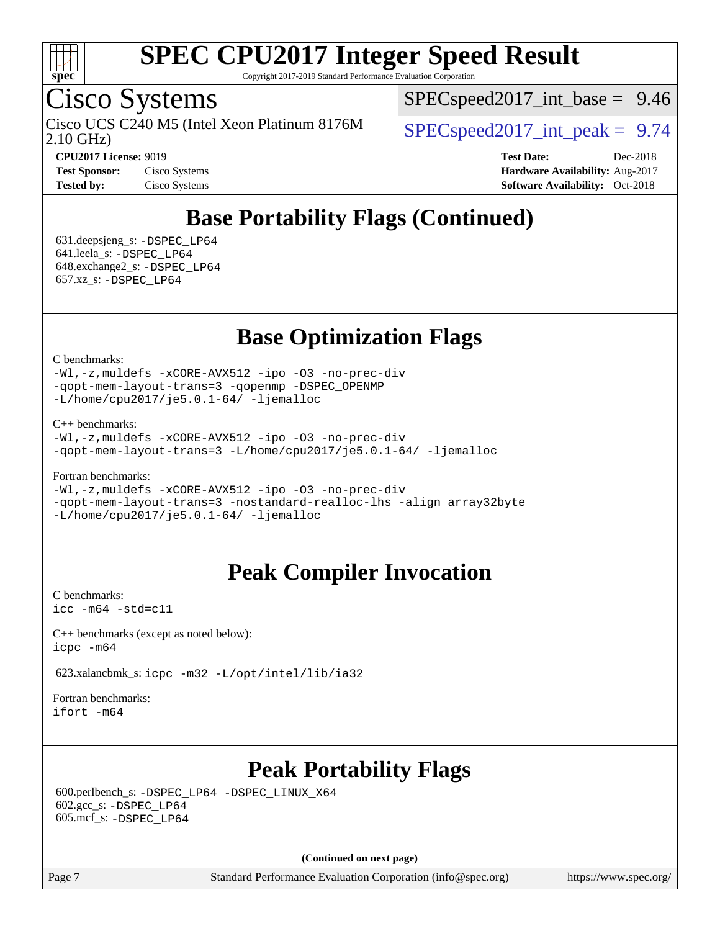

Copyright 2017-2019 Standard Performance Evaluation Corporation

## Cisco Systems

2.10 GHz) Cisco UCS C240 M5 (Intel Xeon Platinum 8176M  $\big|$  [SPECspeed2017\\_int\\_peak =](http://www.spec.org/auto/cpu2017/Docs/result-fields.html#SPECspeed2017intpeak) 9.74

 $SPECspeed2017\_int\_base = 9.46$ 

**[CPU2017 License:](http://www.spec.org/auto/cpu2017/Docs/result-fields.html#CPU2017License)** 9019 **[Test Date:](http://www.spec.org/auto/cpu2017/Docs/result-fields.html#TestDate)** Dec-2018 **[Test Sponsor:](http://www.spec.org/auto/cpu2017/Docs/result-fields.html#TestSponsor)** Cisco Systems **[Hardware Availability:](http://www.spec.org/auto/cpu2017/Docs/result-fields.html#HardwareAvailability)** Aug-2017 **[Tested by:](http://www.spec.org/auto/cpu2017/Docs/result-fields.html#Testedby)** Cisco Systems **[Software Availability:](http://www.spec.org/auto/cpu2017/Docs/result-fields.html#SoftwareAvailability)** Oct-2018

## **[Base Portability Flags \(Continued\)](http://www.spec.org/auto/cpu2017/Docs/result-fields.html#BasePortabilityFlags)**

 631.deepsjeng\_s: [-DSPEC\\_LP64](http://www.spec.org/cpu2017/results/res2019q1/cpu2017-20190108-10616.flags.html#suite_basePORTABILITY631_deepsjeng_s_DSPEC_LP64) 641.leela\_s: [-DSPEC\\_LP64](http://www.spec.org/cpu2017/results/res2019q1/cpu2017-20190108-10616.flags.html#suite_basePORTABILITY641_leela_s_DSPEC_LP64) 648.exchange2\_s: [-DSPEC\\_LP64](http://www.spec.org/cpu2017/results/res2019q1/cpu2017-20190108-10616.flags.html#suite_basePORTABILITY648_exchange2_s_DSPEC_LP64) 657.xz\_s: [-DSPEC\\_LP64](http://www.spec.org/cpu2017/results/res2019q1/cpu2017-20190108-10616.flags.html#suite_basePORTABILITY657_xz_s_DSPEC_LP64)

**[Base Optimization Flags](http://www.spec.org/auto/cpu2017/Docs/result-fields.html#BaseOptimizationFlags)**

[C benchmarks](http://www.spec.org/auto/cpu2017/Docs/result-fields.html#Cbenchmarks):

[-Wl,-z,muldefs](http://www.spec.org/cpu2017/results/res2019q1/cpu2017-20190108-10616.flags.html#user_CCbase_link_force_multiple1_b4cbdb97b34bdee9ceefcfe54f4c8ea74255f0b02a4b23e853cdb0e18eb4525ac79b5a88067c842dd0ee6996c24547a27a4b99331201badda8798ef8a743f577) [-xCORE-AVX512](http://www.spec.org/cpu2017/results/res2019q1/cpu2017-20190108-10616.flags.html#user_CCbase_f-xCORE-AVX512) [-ipo](http://www.spec.org/cpu2017/results/res2019q1/cpu2017-20190108-10616.flags.html#user_CCbase_f-ipo) [-O3](http://www.spec.org/cpu2017/results/res2019q1/cpu2017-20190108-10616.flags.html#user_CCbase_f-O3) [-no-prec-div](http://www.spec.org/cpu2017/results/res2019q1/cpu2017-20190108-10616.flags.html#user_CCbase_f-no-prec-div) [-qopt-mem-layout-trans=3](http://www.spec.org/cpu2017/results/res2019q1/cpu2017-20190108-10616.flags.html#user_CCbase_f-qopt-mem-layout-trans_de80db37974c74b1f0e20d883f0b675c88c3b01e9d123adea9b28688d64333345fb62bc4a798493513fdb68f60282f9a726aa07f478b2f7113531aecce732043) [-qopenmp](http://www.spec.org/cpu2017/results/res2019q1/cpu2017-20190108-10616.flags.html#user_CCbase_qopenmp_16be0c44f24f464004c6784a7acb94aca937f053568ce72f94b139a11c7c168634a55f6653758ddd83bcf7b8463e8028bb0b48b77bcddc6b78d5d95bb1df2967) [-DSPEC\\_OPENMP](http://www.spec.org/cpu2017/results/res2019q1/cpu2017-20190108-10616.flags.html#suite_CCbase_DSPEC_OPENMP) [-L/home/cpu2017/je5.0.1-64/](http://www.spec.org/cpu2017/results/res2019q1/cpu2017-20190108-10616.flags.html#user_CCbase_jemalloc_link_path64_8e927a5f1bdac0405e66c637541874330e08086b5e62a1d024bcf3497e3c64fd173c8afb7d1730d51f6da781ef4c439bdab468bb8364cf71435e0c609fac500c) [-ljemalloc](http://www.spec.org/cpu2017/results/res2019q1/cpu2017-20190108-10616.flags.html#user_CCbase_jemalloc_link_lib_d1249b907c500fa1c0672f44f562e3d0f79738ae9e3c4a9c376d49f265a04b9c99b167ecedbf6711b3085be911c67ff61f150a17b3472be731631ba4d0471706)

[C++ benchmarks:](http://www.spec.org/auto/cpu2017/Docs/result-fields.html#CXXbenchmarks)

[-Wl,-z,muldefs](http://www.spec.org/cpu2017/results/res2019q1/cpu2017-20190108-10616.flags.html#user_CXXbase_link_force_multiple1_b4cbdb97b34bdee9ceefcfe54f4c8ea74255f0b02a4b23e853cdb0e18eb4525ac79b5a88067c842dd0ee6996c24547a27a4b99331201badda8798ef8a743f577) [-xCORE-AVX512](http://www.spec.org/cpu2017/results/res2019q1/cpu2017-20190108-10616.flags.html#user_CXXbase_f-xCORE-AVX512) [-ipo](http://www.spec.org/cpu2017/results/res2019q1/cpu2017-20190108-10616.flags.html#user_CXXbase_f-ipo) [-O3](http://www.spec.org/cpu2017/results/res2019q1/cpu2017-20190108-10616.flags.html#user_CXXbase_f-O3) [-no-prec-div](http://www.spec.org/cpu2017/results/res2019q1/cpu2017-20190108-10616.flags.html#user_CXXbase_f-no-prec-div) [-qopt-mem-layout-trans=3](http://www.spec.org/cpu2017/results/res2019q1/cpu2017-20190108-10616.flags.html#user_CXXbase_f-qopt-mem-layout-trans_de80db37974c74b1f0e20d883f0b675c88c3b01e9d123adea9b28688d64333345fb62bc4a798493513fdb68f60282f9a726aa07f478b2f7113531aecce732043) [-L/home/cpu2017/je5.0.1-64/](http://www.spec.org/cpu2017/results/res2019q1/cpu2017-20190108-10616.flags.html#user_CXXbase_jemalloc_link_path64_8e927a5f1bdac0405e66c637541874330e08086b5e62a1d024bcf3497e3c64fd173c8afb7d1730d51f6da781ef4c439bdab468bb8364cf71435e0c609fac500c) [-ljemalloc](http://www.spec.org/cpu2017/results/res2019q1/cpu2017-20190108-10616.flags.html#user_CXXbase_jemalloc_link_lib_d1249b907c500fa1c0672f44f562e3d0f79738ae9e3c4a9c376d49f265a04b9c99b167ecedbf6711b3085be911c67ff61f150a17b3472be731631ba4d0471706)

[Fortran benchmarks](http://www.spec.org/auto/cpu2017/Docs/result-fields.html#Fortranbenchmarks):

[-Wl,-z,muldefs](http://www.spec.org/cpu2017/results/res2019q1/cpu2017-20190108-10616.flags.html#user_FCbase_link_force_multiple1_b4cbdb97b34bdee9ceefcfe54f4c8ea74255f0b02a4b23e853cdb0e18eb4525ac79b5a88067c842dd0ee6996c24547a27a4b99331201badda8798ef8a743f577) [-xCORE-AVX512](http://www.spec.org/cpu2017/results/res2019q1/cpu2017-20190108-10616.flags.html#user_FCbase_f-xCORE-AVX512) [-ipo](http://www.spec.org/cpu2017/results/res2019q1/cpu2017-20190108-10616.flags.html#user_FCbase_f-ipo) [-O3](http://www.spec.org/cpu2017/results/res2019q1/cpu2017-20190108-10616.flags.html#user_FCbase_f-O3) [-no-prec-div](http://www.spec.org/cpu2017/results/res2019q1/cpu2017-20190108-10616.flags.html#user_FCbase_f-no-prec-div) [-qopt-mem-layout-trans=3](http://www.spec.org/cpu2017/results/res2019q1/cpu2017-20190108-10616.flags.html#user_FCbase_f-qopt-mem-layout-trans_de80db37974c74b1f0e20d883f0b675c88c3b01e9d123adea9b28688d64333345fb62bc4a798493513fdb68f60282f9a726aa07f478b2f7113531aecce732043) [-nostandard-realloc-lhs](http://www.spec.org/cpu2017/results/res2019q1/cpu2017-20190108-10616.flags.html#user_FCbase_f_2003_std_realloc_82b4557e90729c0f113870c07e44d33d6f5a304b4f63d4c15d2d0f1fab99f5daaed73bdb9275d9ae411527f28b936061aa8b9c8f2d63842963b95c9dd6426b8a) [-align array32byte](http://www.spec.org/cpu2017/results/res2019q1/cpu2017-20190108-10616.flags.html#user_FCbase_align_array32byte_b982fe038af199962ba9a80c053b8342c548c85b40b8e86eb3cc33dee0d7986a4af373ac2d51c3f7cf710a18d62fdce2948f201cd044323541f22fc0fffc51b6) [-L/home/cpu2017/je5.0.1-64/](http://www.spec.org/cpu2017/results/res2019q1/cpu2017-20190108-10616.flags.html#user_FCbase_jemalloc_link_path64_8e927a5f1bdac0405e66c637541874330e08086b5e62a1d024bcf3497e3c64fd173c8afb7d1730d51f6da781ef4c439bdab468bb8364cf71435e0c609fac500c) [-ljemalloc](http://www.spec.org/cpu2017/results/res2019q1/cpu2017-20190108-10616.flags.html#user_FCbase_jemalloc_link_lib_d1249b907c500fa1c0672f44f562e3d0f79738ae9e3c4a9c376d49f265a04b9c99b167ecedbf6711b3085be911c67ff61f150a17b3472be731631ba4d0471706)

## **[Peak Compiler Invocation](http://www.spec.org/auto/cpu2017/Docs/result-fields.html#PeakCompilerInvocation)**

[C benchmarks](http://www.spec.org/auto/cpu2017/Docs/result-fields.html#Cbenchmarks): [icc -m64 -std=c11](http://www.spec.org/cpu2017/results/res2019q1/cpu2017-20190108-10616.flags.html#user_CCpeak_intel_icc_64bit_c11_33ee0cdaae7deeeab2a9725423ba97205ce30f63b9926c2519791662299b76a0318f32ddfffdc46587804de3178b4f9328c46fa7c2b0cd779d7a61945c91cd35)

[C++ benchmarks \(except as noted below\):](http://www.spec.org/auto/cpu2017/Docs/result-fields.html#CXXbenchmarksexceptasnotedbelow) [icpc -m64](http://www.spec.org/cpu2017/results/res2019q1/cpu2017-20190108-10616.flags.html#user_CXXpeak_intel_icpc_64bit_4ecb2543ae3f1412ef961e0650ca070fec7b7afdcd6ed48761b84423119d1bf6bdf5cad15b44d48e7256388bc77273b966e5eb805aefd121eb22e9299b2ec9d9)

623.xalancbmk\_s: [icpc -m32 -L/opt/intel/lib/ia32](http://www.spec.org/cpu2017/results/res2019q1/cpu2017-20190108-10616.flags.html#user_peakCXXLD623_xalancbmk_s_intel_icpc_44eae83c1f565e7e266431f067370024ba26559400a3332485578bf716e23841c734f948145e944e2f4b6f3ce32c2c966ea92b66ca79c6f94f301242c0f554cf)

[Fortran benchmarks](http://www.spec.org/auto/cpu2017/Docs/result-fields.html#Fortranbenchmarks): [ifort -m64](http://www.spec.org/cpu2017/results/res2019q1/cpu2017-20190108-10616.flags.html#user_FCpeak_intel_ifort_64bit_24f2bb282fbaeffd6157abe4f878425411749daecae9a33200eee2bee2fe76f3b89351d69a8130dd5949958ce389cf37ff59a95e7a40d588e8d3a57e0c3fd751)

### **[Peak Portability Flags](http://www.spec.org/auto/cpu2017/Docs/result-fields.html#PeakPortabilityFlags)**

 600.perlbench\_s: [-DSPEC\\_LP64](http://www.spec.org/cpu2017/results/res2019q1/cpu2017-20190108-10616.flags.html#b600.perlbench_s_peakPORTABILITY_DSPEC_LP64) [-DSPEC\\_LINUX\\_X64](http://www.spec.org/cpu2017/results/res2019q1/cpu2017-20190108-10616.flags.html#b600.perlbench_s_peakCPORTABILITY_DSPEC_LINUX_X64) 602.gcc\_s: [-DSPEC\\_LP64](http://www.spec.org/cpu2017/results/res2019q1/cpu2017-20190108-10616.flags.html#suite_peakPORTABILITY602_gcc_s_DSPEC_LP64) 605.mcf\_s: [-DSPEC\\_LP64](http://www.spec.org/cpu2017/results/res2019q1/cpu2017-20190108-10616.flags.html#suite_peakPORTABILITY605_mcf_s_DSPEC_LP64)

**(Continued on next page)**

Page 7 Standard Performance Evaluation Corporation [\(info@spec.org\)](mailto:info@spec.org) <https://www.spec.org/>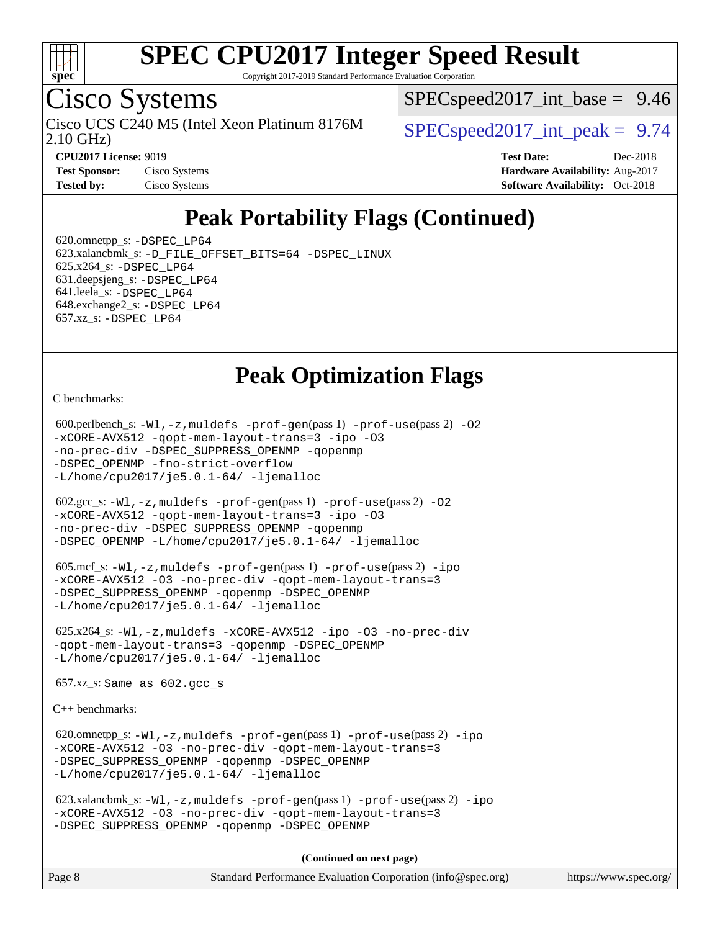

Copyright 2017-2019 Standard Performance Evaluation Corporation

## Cisco Systems

2.10 GHz) Cisco UCS C240 M5 (Intel Xeon Platinum 8176M  $\big|$  [SPECspeed2017\\_int\\_peak =](http://www.spec.org/auto/cpu2017/Docs/result-fields.html#SPECspeed2017intpeak) 9.74

 $SPECspeed2017\_int\_base = 9.46$ 

**[Tested by:](http://www.spec.org/auto/cpu2017/Docs/result-fields.html#Testedby)** Cisco Systems **[Software Availability:](http://www.spec.org/auto/cpu2017/Docs/result-fields.html#SoftwareAvailability)** Oct-2018

**[CPU2017 License:](http://www.spec.org/auto/cpu2017/Docs/result-fields.html#CPU2017License)** 9019 **[Test Date:](http://www.spec.org/auto/cpu2017/Docs/result-fields.html#TestDate)** Dec-2018 **[Test Sponsor:](http://www.spec.org/auto/cpu2017/Docs/result-fields.html#TestSponsor)** Cisco Systems **[Hardware Availability:](http://www.spec.org/auto/cpu2017/Docs/result-fields.html#HardwareAvailability)** Aug-2017

## **[Peak Portability Flags \(Continued\)](http://www.spec.org/auto/cpu2017/Docs/result-fields.html#PeakPortabilityFlags)**

 620.omnetpp\_s: [-DSPEC\\_LP64](http://www.spec.org/cpu2017/results/res2019q1/cpu2017-20190108-10616.flags.html#suite_peakPORTABILITY620_omnetpp_s_DSPEC_LP64) 623.xalancbmk\_s: [-D\\_FILE\\_OFFSET\\_BITS=64](http://www.spec.org/cpu2017/results/res2019q1/cpu2017-20190108-10616.flags.html#user_peakPORTABILITY623_xalancbmk_s_file_offset_bits_64_5ae949a99b284ddf4e95728d47cb0843d81b2eb0e18bdfe74bbf0f61d0b064f4bda2f10ea5eb90e1dcab0e84dbc592acfc5018bc955c18609f94ddb8d550002c) [-DSPEC\\_LINUX](http://www.spec.org/cpu2017/results/res2019q1/cpu2017-20190108-10616.flags.html#b623.xalancbmk_s_peakCXXPORTABILITY_DSPEC_LINUX) 625.x264\_s: [-DSPEC\\_LP64](http://www.spec.org/cpu2017/results/res2019q1/cpu2017-20190108-10616.flags.html#suite_peakPORTABILITY625_x264_s_DSPEC_LP64) 631.deepsjeng\_s: [-DSPEC\\_LP64](http://www.spec.org/cpu2017/results/res2019q1/cpu2017-20190108-10616.flags.html#suite_peakPORTABILITY631_deepsjeng_s_DSPEC_LP64) 641.leela\_s: [-DSPEC\\_LP64](http://www.spec.org/cpu2017/results/res2019q1/cpu2017-20190108-10616.flags.html#suite_peakPORTABILITY641_leela_s_DSPEC_LP64) 648.exchange2\_s: [-DSPEC\\_LP64](http://www.spec.org/cpu2017/results/res2019q1/cpu2017-20190108-10616.flags.html#suite_peakPORTABILITY648_exchange2_s_DSPEC_LP64) 657.xz\_s: [-DSPEC\\_LP64](http://www.spec.org/cpu2017/results/res2019q1/cpu2017-20190108-10616.flags.html#suite_peakPORTABILITY657_xz_s_DSPEC_LP64)

### **[Peak Optimization Flags](http://www.spec.org/auto/cpu2017/Docs/result-fields.html#PeakOptimizationFlags)**

[C benchmarks](http://www.spec.org/auto/cpu2017/Docs/result-fields.html#Cbenchmarks):

```
600.perlbench_s: -W1-prof-gen-prof-use(pass 2) -02
-xCORE-AVX512 -qopt-mem-layout-trans=3 -ipo -O3
-no-prec-div -DSPEC_SUPPRESS_OPENMP -qopenmp
-DSPEC_OPENMP -fno-strict-overflow
-L/home/cpu2017/je5.0.1-64/ -ljemalloc
 602.gcc_s: -Wl,-z,muldefs -prof-gen(pass 1) -prof-use(pass 2) -O2
-xCORE-AVX512 -qopt-mem-layout-trans=3 -ipo -O3
-no-prec-div -DSPEC_SUPPRESS_OPENMP -qopenmp
-DSPEC_OPENMP -L/home/cpu2017/je5.0.1-64/ -ljemalloc
605.mcf_s: -W1, -z, muldefs -prof -qen(pass 1) -prof-ipo
-xCORE-AVX512 -O3 -no-prec-div -qopt-mem-layout-trans=3
-DSPEC_SUPPRESS_OPENMP -qopenmp -DSPEC_OPENMP
-L/home/cpu2017/je5.0.1-64/ -ljemalloc
 625.x264_s: -Wl,-z,muldefs -xCORE-AVX512 -ipo -O3 -no-prec-div
-qopt-mem-layout-trans=3 -qopenmp -DSPEC_OPENMP
-ljemalloc 657.xz_s: Same as 602.gcc_s
C++ benchmarks: 
 620.omnetpp_s: -Wl,-z,muldefs -prof-gen(pass 1) -prof-use(pass 2) -ipo
-xCORE-AVX512 -O3 -no-prec-div -qopt-mem-layout-trans=3
-DSPEC_SUPPRESS_OPENMP -qopenmp -DSPEC_OPENMP
-L/home/cpu2017/je5.0.1-64/ -ljemalloc
 623.xalancbmk_s: -Wl,-z,muldefs -prof-gen(pass 1) -prof-use(pass 2) -ipo
-xCORE-AVX512 -O3 -no-prec-div -qopt-mem-layout-trans=3
-DSPEC_SUPPRESS_OPENMP -qopenmp -DSPEC_OPENMP
```
**(Continued on next page)**